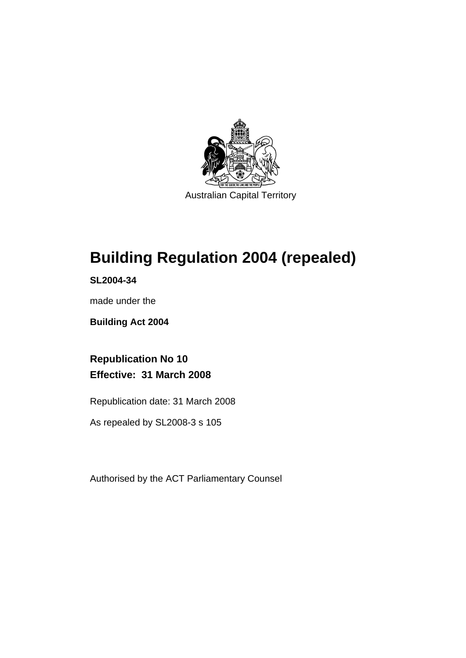

Australian Capital Territory

# **[Building Regulation 2004 \(repealed\)](#page-6-0)**

**SL2004-34** 

made under the

**[Building Act 2004](#page-6-0)** 

**Republication No 10 Effective: 31 March 2008** 

Republication date: 31 March 2008

As repealed by SL2008-3 s 105

Authorised by the ACT Parliamentary Counsel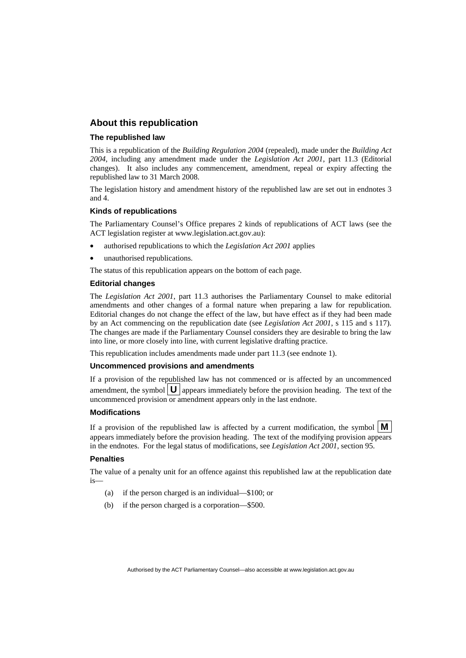# **About this republication**

#### **The republished law**

This is a republication of the *Building Regulation 2004* (repealed), made under the *[Building Act](#page-6-0)  [2004](#page-6-0)*, including any amendment made under the *Legislation Act 2001*, part 11.3 (Editorial changes).It also includes any commencement, amendment, repeal or expiry affecting the republished law to 31 March 2008.

The legislation history and amendment history of the republished law are set out in endnotes 3 and 4.

#### **Kinds of republications**

The Parliamentary Counsel's Office prepares 2 kinds of republications of ACT laws (see the ACT legislation register at www.legislation.act.gov.au):

- authorised republications to which the *Legislation Act 2001* applies
- unauthorised republications.

The status of this republication appears on the bottom of each page.

#### **Editorial changes**

The *Legislation Act 2001*, part 11.3 authorises the Parliamentary Counsel to make editorial amendments and other changes of a formal nature when preparing a law for republication. Editorial changes do not change the effect of the law, but have effect as if they had been made by an Act commencing on the republication date (see *Legislation Act 2001*, s 115 and s 117). The changes are made if the Parliamentary Counsel considers they are desirable to bring the law into line, or more closely into line, with current legislative drafting practice.

This republication includes amendments made under part 11.3 (see endnote 1).

#### **Uncommenced provisions and amendments**

If a provision of the republished law has not commenced or is affected by an uncommenced amendment, the symbol  $\mathbf{U}$  appears immediately before the provision heading. The text of the uncommenced provision  $\overline{or}$  amendment appears only in the last endnote.

#### **Modifications**

If a provision of the republished law is affected by a current modification, the symbol  $\mathbf{M}$ appears immediately before the provision heading. The text of the modifying provision appears in the endnotes. For the legal status of modifications, see *Legislation Act 2001*, section 95.

#### **Penalties**

The value of a penalty unit for an offence against this republished law at the republication date is—

- (a) if the person charged is an individual—\$100; or
- (b) if the person charged is a corporation—\$500.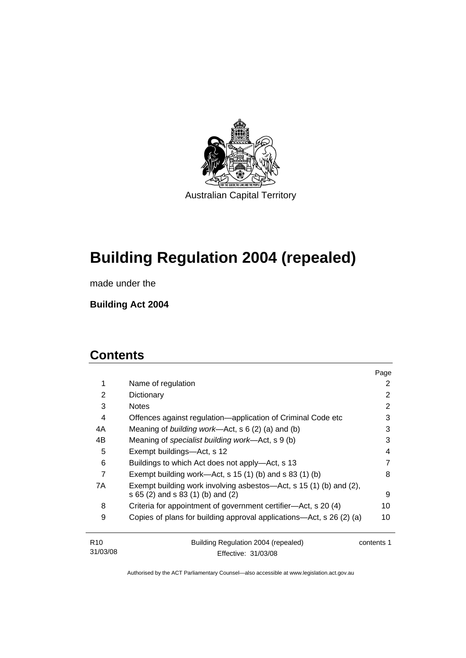

**[Building Regulation 2004 \(repealed\)](#page-6-0)** 

made under the

**[Building Act 2004](#page-6-0)** 

# **Contents**

31/03/08

|                 |                                                                                                         | Page       |
|-----------------|---------------------------------------------------------------------------------------------------------|------------|
| 1               | Name of regulation                                                                                      | 2          |
| $\overline{2}$  | Dictionary                                                                                              | 2          |
| 3               | <b>Notes</b>                                                                                            | 2          |
| 4               | Offences against regulation-application of Criminal Code etc                                            | 3          |
| 4A              | Meaning of building work-Act, s 6 (2) (a) and (b)                                                       | 3          |
| 4B              | Meaning of specialist building work—Act, s 9 (b)                                                        | 3          |
| 5               | Exempt buildings—Act, s 12                                                                              | 4          |
| 6               | Buildings to which Act does not apply—Act, s 13                                                         | 7          |
| 7               | Exempt building work—Act, $s$ 15 (1) (b) and $s$ 83 (1) (b)                                             | 8          |
| 7A              | Exempt building work involving asbestos—Act, s 15 (1) (b) and (2),<br>s 65 (2) and s 83 (1) (b) and (2) | 9          |
| 8               | Criteria for appointment of government certifier—Act, s 20 (4)                                          | 10         |
| 9               | Copies of plans for building approval applications—Act, s 26 (2) (a)                                    | 10         |
| R <sub>10</sub> | Building Regulation 2004 (repealed)                                                                     | contents 1 |

Effective: 31/03/08

contents 1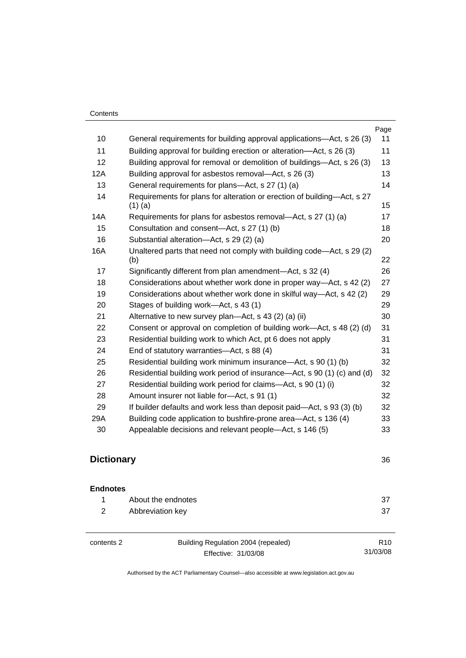|     |                                                                                      | Page |
|-----|--------------------------------------------------------------------------------------|------|
| 10  | General requirements for building approval applications-Act, s 26 (3)                | 11   |
| 11  | Building approval for building erection or alteration—Act, s 26 (3)                  | 11   |
| 12  | Building approval for removal or demolition of buildings—Act, s 26 (3)               | 13   |
| 12A | Building approval for asbestos removal—Act, s 26 (3)                                 | 13   |
| 13  | General requirements for plans-Act, s 27 (1) (a)                                     | 14   |
| 14  | Requirements for plans for alteration or erection of building-Act, s 27<br>$(1)$ (a) | 15   |
| 14A | Requirements for plans for asbestos removal—Act, s 27 (1) (a)                        | 17   |
| 15  | Consultation and consent-Act, s 27 (1) (b)                                           | 18   |
| 16  | Substantial alteration-Act, s 29 (2) (a)                                             | 20   |
| 16A | Unaltered parts that need not comply with building code—Act, s 29 (2)<br>(b)         | 22   |
| 17  | Significantly different from plan amendment—Act, s 32 (4)                            | 26   |
| 18  | Considerations about whether work done in proper way—Act, s 42 (2)                   | 27   |
| 19  | Considerations about whether work done in skilful way-Act, s 42 (2)                  | 29   |
| 20  | Stages of building work—Act, s 43 (1)                                                | 29   |
| 21  | Alternative to new survey plan—Act, s 43 (2) (a) (ii)                                | 30   |
| 22  | Consent or approval on completion of building work—Act, s 48 (2) (d)                 | 31   |
| 23  | Residential building work to which Act, pt 6 does not apply                          | 31   |
| 24  | End of statutory warranties-Act, s 88 (4)                                            | 31   |
| 25  | Residential building work minimum insurance-Act, s 90 (1) (b)                        | 32   |
| 26  | Residential building work period of insurance—Act, s 90 (1) (c) and (d)              | 32   |
| 27  | Residential building work period for claims-Act, s 90 (1) (i)                        | 32   |
| 28  | Amount insurer not liable for-Act, s 91 (1)                                          | 32   |
| 29  | If builder defaults and work less than deposit paid—Act, s 93 (3) (b)                | 32   |
| 29A | Building code application to bushfire-prone area-Act, s 136 (4)                      | 33   |
| 30  | Appealable decisions and relevant people-Act, s 146 (5)                              | 33   |

# **Dictionary** [36](#page-41-0)

| <b>Endnotes</b> |                    |      |
|-----------------|--------------------|------|
| $\mathbf{1}$    | About the endnotes | - 37 |
|                 | Abbreviation key   | -37  |

| contents 2 | Building Regulation 2004 (repealed) | R <sub>10</sub> |
|------------|-------------------------------------|-----------------|
|            | Effective: 31/03/08                 | 31/03/08        |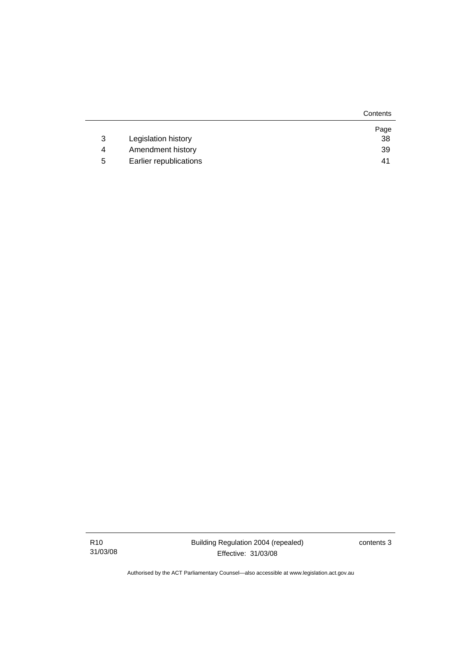|   |                        | Contents |
|---|------------------------|----------|
|   |                        | Page     |
| 3 | Legislation history    | 38       |
| 4 | Amendment history      | 39       |
| 5 | Earlier republications | 41       |

contents 3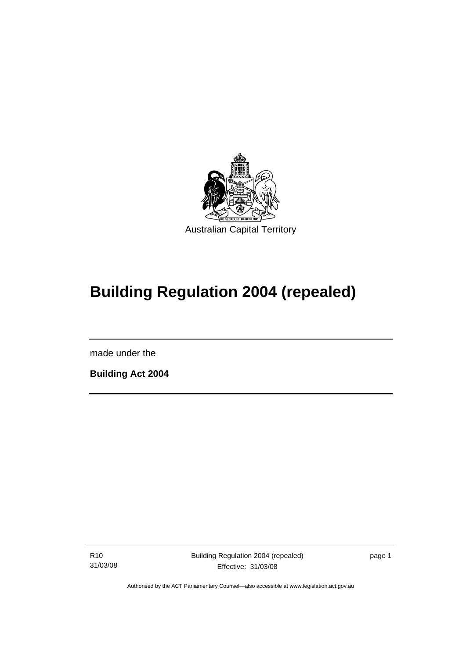<span id="page-6-0"></span>

# **Building Regulation 2004 (repealed)**

made under the

I

**Building Act 2004** 

R10 31/03/08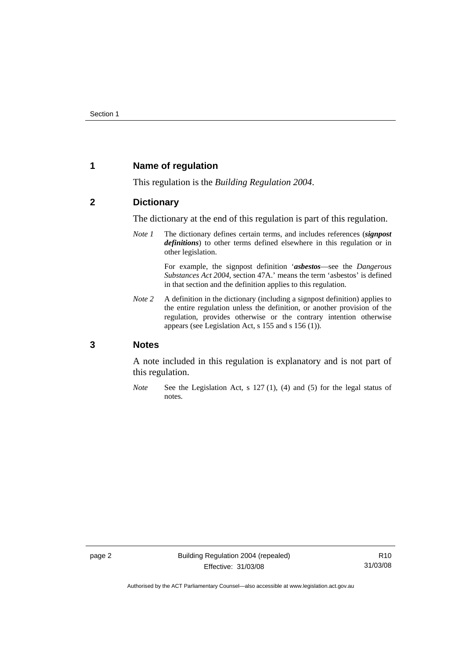# <span id="page-7-0"></span>**1 Name of regulation**

This regulation is the *Building Regulation 2004*.

# **2 Dictionary**

The dictionary at the end of this regulation is part of this regulation.

*Note 1* The dictionary defines certain terms, and includes references (*signpost definitions*) to other terms defined elsewhere in this regulation or in other legislation.

> For example, the signpost definition '*asbestos*—see the *Dangerous Substances Act 2004*, section 47A.' means the term 'asbestos' is defined in that section and the definition applies to this regulation.

*Note 2* A definition in the dictionary (including a signpost definition) applies to the entire regulation unless the definition, or another provision of the regulation, provides otherwise or the contrary intention otherwise appears (see Legislation Act, s 155 and s 156 (1)).

### **3 Notes**

A note included in this regulation is explanatory and is not part of this regulation.

*Note* See the Legislation Act, s 127 (1), (4) and (5) for the legal status of notes.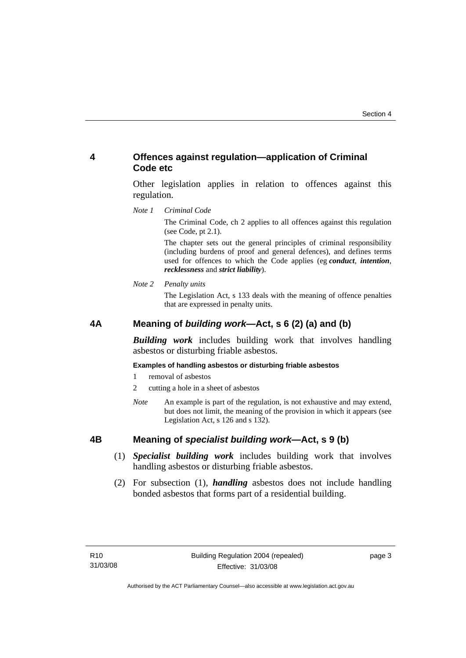# <span id="page-8-0"></span>**4 Offences against regulation—application of Criminal Code etc**

Other legislation applies in relation to offences against this regulation.

*Note 1 Criminal Code*

The Criminal Code, ch 2 applies to all offences against this regulation (see Code, pt 2.1).

The chapter sets out the general principles of criminal responsibility (including burdens of proof and general defences), and defines terms used for offences to which the Code applies (eg *conduct*, *intention*, *recklessness* and *strict liability*).

*Note 2 Penalty units* 

The Legislation Act, s 133 deals with the meaning of offence penalties that are expressed in penalty units.

# **4A Meaning of** *building work***—Act, s 6 (2) (a) and (b)**

*Building work* includes building work that involves handling asbestos or disturbing friable asbestos.

#### **Examples of handling asbestos or disturbing friable asbestos**

- 1 removal of asbestos
- 2 cutting a hole in a sheet of asbestos
- *Note* An example is part of the regulation, is not exhaustive and may extend, but does not limit, the meaning of the provision in which it appears (see Legislation Act, s 126 and s 132).

## **4B Meaning of** *specialist building work***—Act, s 9 (b)**

- (1) *Specialist building work* includes building work that involves handling asbestos or disturbing friable asbestos.
- (2) For subsection (1), *handling* asbestos does not include handling bonded asbestos that forms part of a residential building.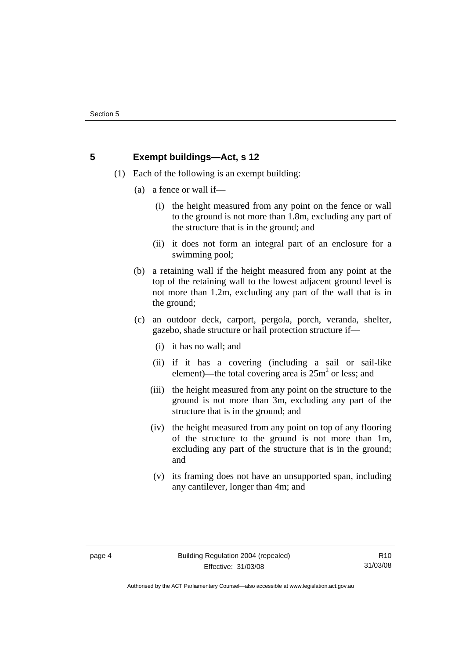# <span id="page-9-0"></span>**5 Exempt buildings—Act, s 12**

- (1) Each of the following is an exempt building:
	- (a) a fence or wall if—
		- (i) the height measured from any point on the fence or wall to the ground is not more than 1.8m, excluding any part of the structure that is in the ground; and
		- (ii) it does not form an integral part of an enclosure for a swimming pool;
	- (b) a retaining wall if the height measured from any point at the top of the retaining wall to the lowest adjacent ground level is not more than 1.2m, excluding any part of the wall that is in the ground;
	- (c) an outdoor deck, carport, pergola, porch, veranda, shelter, gazebo, shade structure or hail protection structure if—
		- (i) it has no wall; and
		- (ii) if it has a covering (including a sail or sail-like element)—the total covering area is  $25m^2$  or less; and
		- (iii) the height measured from any point on the structure to the ground is not more than 3m, excluding any part of the structure that is in the ground; and
		- (iv) the height measured from any point on top of any flooring of the structure to the ground is not more than 1m, excluding any part of the structure that is in the ground; and
		- (v) its framing does not have an unsupported span, including any cantilever, longer than 4m; and

Authorised by the ACT Parliamentary Counsel—also accessible at www.legislation.act.gov.au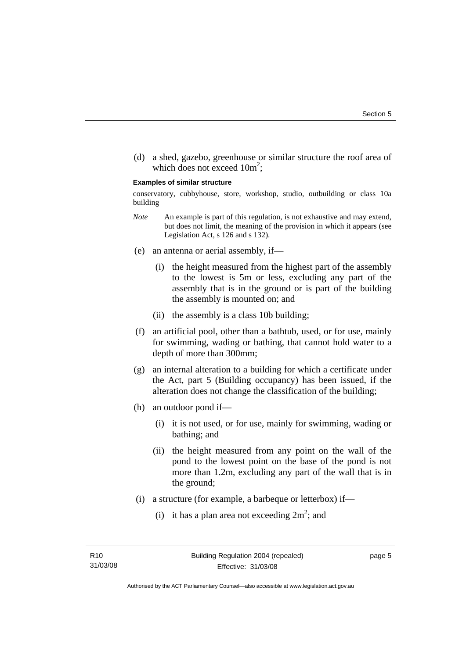(d) a shed, gazebo, greenhouse or similar structure the roof area of which does not exceed  $10m^2$ ;

#### **Examples of similar structure**

conservatory, cubbyhouse, store, workshop, studio, outbuilding or class 10a building

- *Note* An example is part of this regulation, is not exhaustive and may extend, but does not limit, the meaning of the provision in which it appears (see Legislation Act, s 126 and s 132).
- (e) an antenna or aerial assembly, if—
	- (i) the height measured from the highest part of the assembly to the lowest is 5m or less, excluding any part of the assembly that is in the ground or is part of the building the assembly is mounted on; and
	- (ii) the assembly is a class 10b building;
- (f) an artificial pool, other than a bathtub, used, or for use, mainly for swimming, wading or bathing, that cannot hold water to a depth of more than 300mm;
- (g) an internal alteration to a building for which a certificate under the Act, part 5 (Building occupancy) has been issued, if the alteration does not change the classification of the building;
- (h) an outdoor pond if—
	- (i) it is not used, or for use, mainly for swimming, wading or bathing; and
	- (ii) the height measured from any point on the wall of the pond to the lowest point on the base of the pond is not more than 1.2m, excluding any part of the wall that is in the ground;
- (i) a structure (for example, a barbeque or letterbox) if—
- (i) it has a plan area not exceeding  $2m^2$ ; and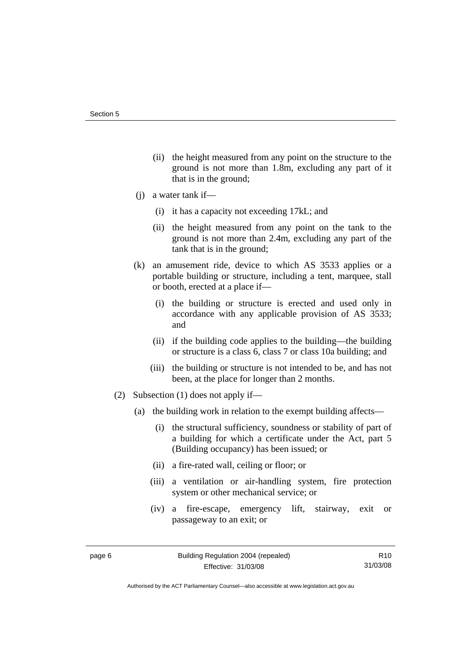- (ii) the height measured from any point on the structure to the ground is not more than 1.8m, excluding any part of it that is in the ground;
- (j) a water tank if—
	- (i) it has a capacity not exceeding 17kL; and
	- (ii) the height measured from any point on the tank to the ground is not more than 2.4m, excluding any part of the tank that is in the ground;
- (k) an amusement ride, device to which AS 3533 applies or a portable building or structure, including a tent, marquee, stall or booth, erected at a place if—
	- (i) the building or structure is erected and used only in accordance with any applicable provision of AS 3533; and
	- (ii) if the building code applies to the building—the building or structure is a class 6, class 7 or class 10a building; and
	- (iii) the building or structure is not intended to be, and has not been, at the place for longer than 2 months.
- (2) Subsection (1) does not apply if—
	- (a) the building work in relation to the exempt building affects—
		- (i) the structural sufficiency, soundness or stability of part of a building for which a certificate under the Act, part 5 (Building occupancy) has been issued; or
		- (ii) a fire-rated wall, ceiling or floor; or
		- (iii) a ventilation or air-handling system, fire protection system or other mechanical service; or
		- (iv) a fire-escape, emergency lift, stairway, exit or passageway to an exit; or

R10 31/03/08

Authorised by the ACT Parliamentary Counsel—also accessible at www.legislation.act.gov.au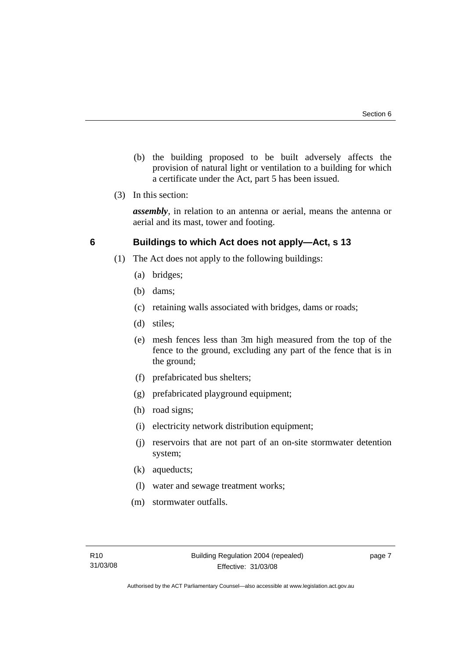- <span id="page-12-0"></span> (b) the building proposed to be built adversely affects the provision of natural light or ventilation to a building for which a certificate under the Act, part 5 has been issued.
- (3) In this section:

*assembly*, in relation to an antenna or aerial, means the antenna or aerial and its mast, tower and footing.

# **6 Buildings to which Act does not apply—Act, s 13**

- (1) The Act does not apply to the following buildings:
	- (a) bridges;
	- (b) dams;
	- (c) retaining walls associated with bridges, dams or roads;
	- (d) stiles;
	- (e) mesh fences less than 3m high measured from the top of the fence to the ground, excluding any part of the fence that is in the ground;
	- (f) prefabricated bus shelters;
	- (g) prefabricated playground equipment;
	- (h) road signs;
	- (i) electricity network distribution equipment;
	- (j) reservoirs that are not part of an on-site stormwater detention system;
	- (k) aqueducts;
	- (l) water and sewage treatment works;
	- (m) stormwater outfalls.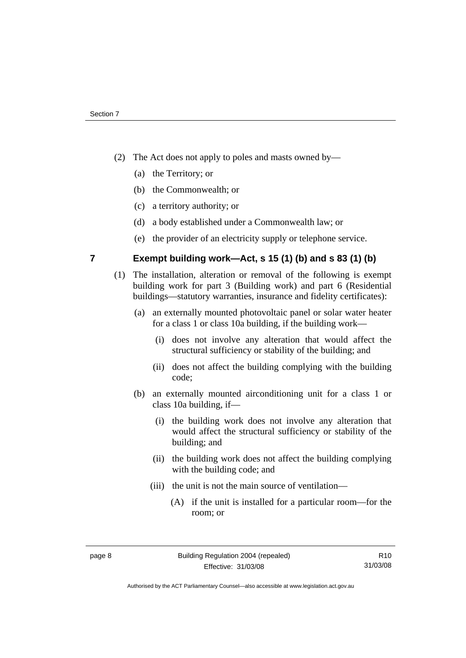- <span id="page-13-0"></span> (2) The Act does not apply to poles and masts owned by—
	- (a) the Territory; or
	- (b) the Commonwealth; or
	- (c) a territory authority; or
	- (d) a body established under a Commonwealth law; or
	- (e) the provider of an electricity supply or telephone service.

# **7 Exempt building work—Act, s 15 (1) (b) and s 83 (1) (b)**

- (1) The installation, alteration or removal of the following is exempt building work for part 3 (Building work) and part 6 (Residential buildings—statutory warranties, insurance and fidelity certificates):
	- (a) an externally mounted photovoltaic panel or solar water heater for a class 1 or class 10a building, if the building work—
		- (i) does not involve any alteration that would affect the structural sufficiency or stability of the building; and
		- (ii) does not affect the building complying with the building code;
	- (b) an externally mounted airconditioning unit for a class 1 or class 10a building, if—
		- (i) the building work does not involve any alteration that would affect the structural sufficiency or stability of the building; and
		- (ii) the building work does not affect the building complying with the building code; and
		- (iii) the unit is not the main source of ventilation—
			- (A) if the unit is installed for a particular room—for the room; or

Authorised by the ACT Parliamentary Counsel—also accessible at www.legislation.act.gov.au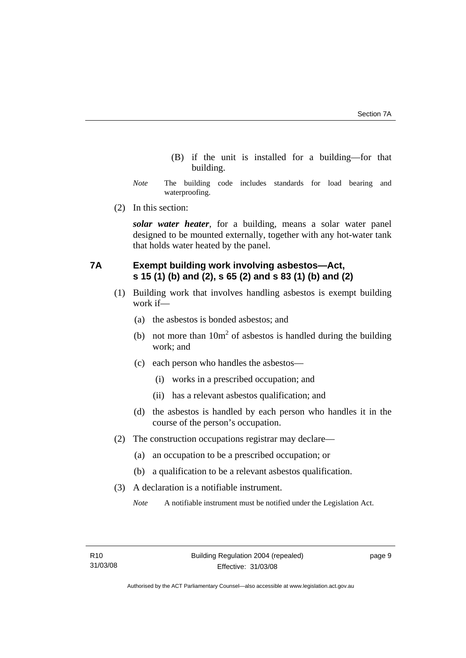- (B) if the unit is installed for a building—for that building.
- <span id="page-14-0"></span>*Note* The building code includes standards for load bearing and waterproofing.
- (2) In this section:

*solar water heater*, for a building, means a solar water panel designed to be mounted externally, together with any hot-water tank that holds water heated by the panel.

# **7A Exempt building work involving asbestos—Act, s 15 (1) (b) and (2), s 65 (2) and s 83 (1) (b) and (2)**

- (1) Building work that involves handling asbestos is exempt building work if—
	- (a) the asbestos is bonded asbestos; and
- (b) not more than  $10m<sup>2</sup>$  of asbestos is handled during the building work; and
	- (c) each person who handles the asbestos—
		- (i) works in a prescribed occupation; and
		- (ii) has a relevant asbestos qualification; and
	- (d) the asbestos is handled by each person who handles it in the course of the person's occupation.
	- (2) The construction occupations registrar may declare—
		- (a) an occupation to be a prescribed occupation; or
		- (b) a qualification to be a relevant asbestos qualification.
	- (3) A declaration is a notifiable instrument.

*Note* A notifiable instrument must be notified under the Legislation Act.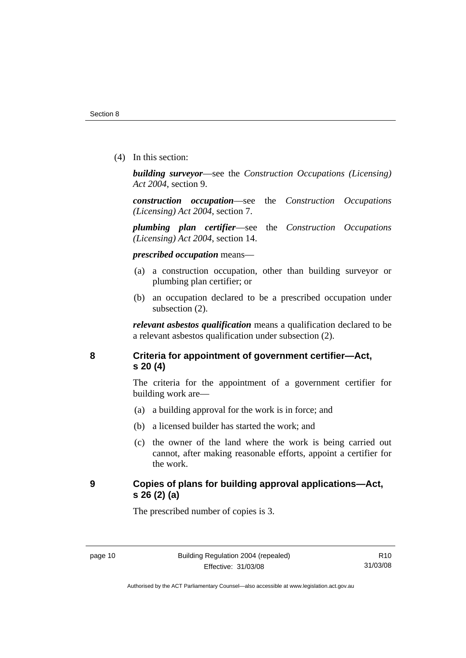<span id="page-15-0"></span>(4) In this section:

*building surveyor*—see the *Construction Occupations (Licensing) Act 2004*, section 9.

*construction occupation*—see the *Construction Occupations (Licensing) Act 2004*, section 7.

*plumbing plan certifier*—see the *Construction Occupations (Licensing) Act 2004*, section 14.

*prescribed occupation* means—

- (a) a construction occupation, other than building surveyor or plumbing plan certifier; or
- (b) an occupation declared to be a prescribed occupation under subsection (2).

*relevant asbestos qualification* means a qualification declared to be a relevant asbestos qualification under subsection (2).

# **8 Criteria for appointment of government certifier—Act, s 20 (4)**

The criteria for the appointment of a government certifier for building work are—

- (a) a building approval for the work is in force; and
- (b) a licensed builder has started the work; and
- (c) the owner of the land where the work is being carried out cannot, after making reasonable efforts, appoint a certifier for the work.

# **9 Copies of plans for building approval applications—Act, s 26 (2) (a)**

The prescribed number of copies is 3.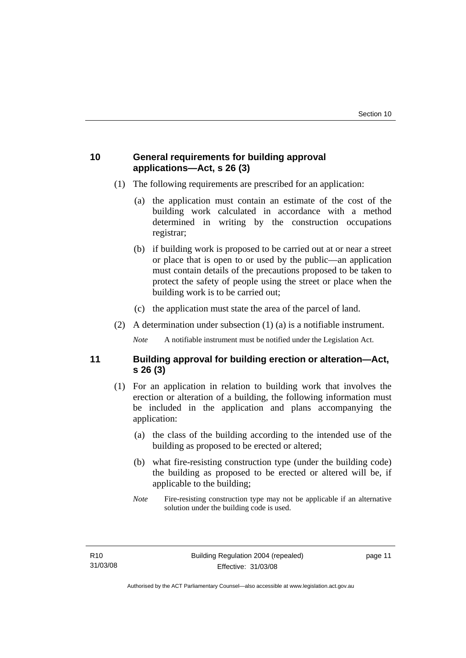# <span id="page-16-0"></span>**10 General requirements for building approval applications—Act, s 26 (3)**

- (1) The following requirements are prescribed for an application:
	- (a) the application must contain an estimate of the cost of the building work calculated in accordance with a method determined in writing by the construction occupations registrar;
	- (b) if building work is proposed to be carried out at or near a street or place that is open to or used by the public—an application must contain details of the precautions proposed to be taken to protect the safety of people using the street or place when the building work is to be carried out;
	- (c) the application must state the area of the parcel of land.
- (2) A determination under subsection (1) (a) is a notifiable instrument.

*Note* A notifiable instrument must be notified under the Legislation Act.

# **11 Building approval for building erection or alteration—Act, s 26 (3)**

- (1) For an application in relation to building work that involves the erection or alteration of a building, the following information must be included in the application and plans accompanying the application:
	- (a) the class of the building according to the intended use of the building as proposed to be erected or altered;
	- (b) what fire-resisting construction type (under the building code) the building as proposed to be erected or altered will be, if applicable to the building;
	- *Note* Fire-resisting construction type may not be applicable if an alternative solution under the building code is used.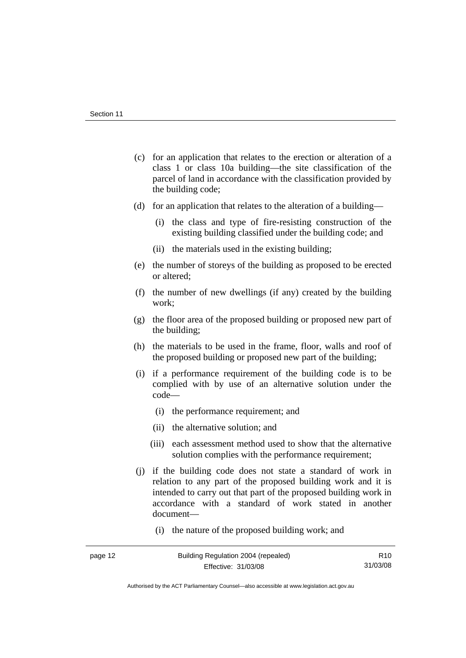- (c) for an application that relates to the erection or alteration of a class 1 or class 10a building—the site classification of the parcel of land in accordance with the classification provided by the building code;
- (d) for an application that relates to the alteration of a building—
	- (i) the class and type of fire-resisting construction of the existing building classified under the building code; and
	- (ii) the materials used in the existing building;
- (e) the number of storeys of the building as proposed to be erected or altered;
- (f) the number of new dwellings (if any) created by the building work;
- (g) the floor area of the proposed building or proposed new part of the building;
- (h) the materials to be used in the frame, floor, walls and roof of the proposed building or proposed new part of the building;
- (i) if a performance requirement of the building code is to be complied with by use of an alternative solution under the code—
	- (i) the performance requirement; and
	- (ii) the alternative solution; and
	- (iii) each assessment method used to show that the alternative solution complies with the performance requirement;
- (j) if the building code does not state a standard of work in relation to any part of the proposed building work and it is intended to carry out that part of the proposed building work in accordance with a standard of work stated in another document—
	- (i) the nature of the proposed building work; and

Authorised by the ACT Parliamentary Counsel—also accessible at www.legislation.act.gov.au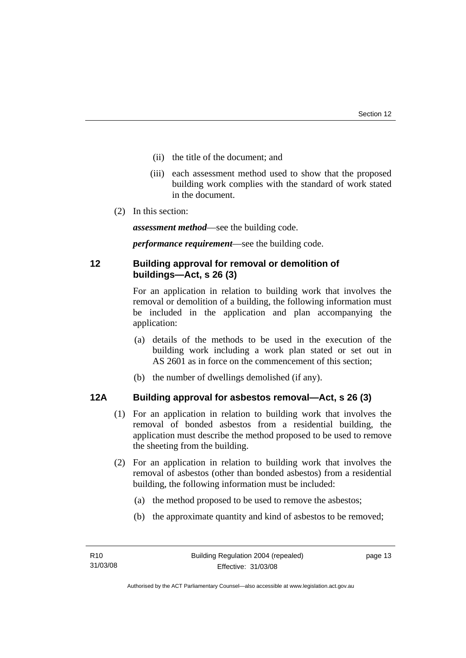- <span id="page-18-0"></span>(ii) the title of the document; and
- (iii) each assessment method used to show that the proposed building work complies with the standard of work stated in the document.
- (2) In this section:

*assessment method*—see the building code.

*performance requirement*—see the building code.

# **12 Building approval for removal or demolition of buildings—Act, s 26 (3)**

For an application in relation to building work that involves the removal or demolition of a building, the following information must be included in the application and plan accompanying the application:

- (a) details of the methods to be used in the execution of the building work including a work plan stated or set out in AS 2601 as in force on the commencement of this section;
- (b) the number of dwellings demolished (if any).

# **12A Building approval for asbestos removal—Act, s 26 (3)**

- (1) For an application in relation to building work that involves the removal of bonded asbestos from a residential building, the application must describe the method proposed to be used to remove the sheeting from the building.
- (2) For an application in relation to building work that involves the removal of asbestos (other than bonded asbestos) from a residential building, the following information must be included:
	- (a) the method proposed to be used to remove the asbestos;
	- (b) the approximate quantity and kind of asbestos to be removed;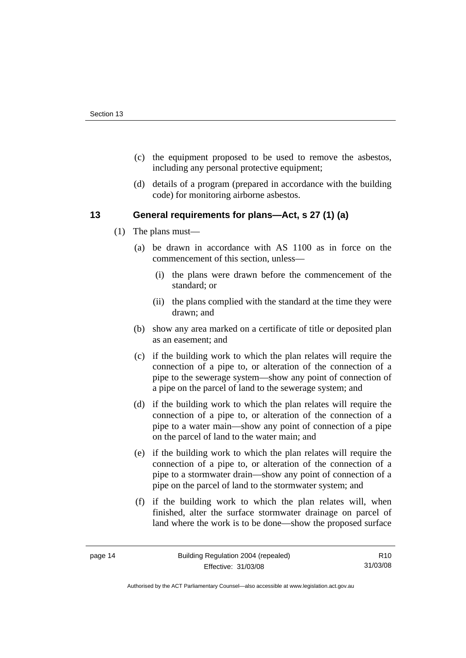- <span id="page-19-0"></span> (c) the equipment proposed to be used to remove the asbestos, including any personal protective equipment;
- (d) details of a program (prepared in accordance with the building code) for monitoring airborne asbestos.

# **13 General requirements for plans—Act, s 27 (1) (a)**

- (1) The plans must—
	- (a) be drawn in accordance with AS 1100 as in force on the commencement of this section, unless—
		- (i) the plans were drawn before the commencement of the standard; or
		- (ii) the plans complied with the standard at the time they were drawn; and
	- (b) show any area marked on a certificate of title or deposited plan as an easement; and
	- (c) if the building work to which the plan relates will require the connection of a pipe to, or alteration of the connection of a pipe to the sewerage system—show any point of connection of a pipe on the parcel of land to the sewerage system; and
	- (d) if the building work to which the plan relates will require the connection of a pipe to, or alteration of the connection of a pipe to a water main—show any point of connection of a pipe on the parcel of land to the water main; and
	- (e) if the building work to which the plan relates will require the connection of a pipe to, or alteration of the connection of a pipe to a stormwater drain—show any point of connection of a pipe on the parcel of land to the stormwater system; and
	- (f) if the building work to which the plan relates will, when finished, alter the surface stormwater drainage on parcel of land where the work is to be done—show the proposed surface

R10 31/03/08

Authorised by the ACT Parliamentary Counsel—also accessible at www.legislation.act.gov.au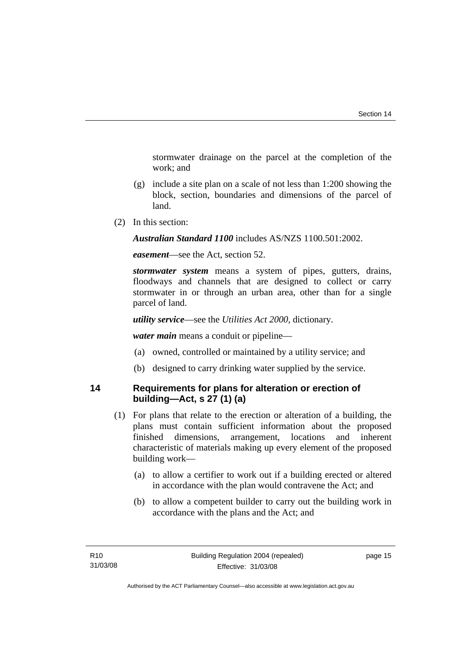<span id="page-20-0"></span>stormwater drainage on the parcel at the completion of the work; and

- (g) include a site plan on a scale of not less than 1:200 showing the block, section, boundaries and dimensions of the parcel of land.
- (2) In this section:

*Australian Standard 1100* includes AS/NZS 1100.501:2002.

*easement*—see the Act, section 52.

*stormwater system* means a system of pipes, gutters, drains, floodways and channels that are designed to collect or carry stormwater in or through an urban area, other than for a single parcel of land.

*utility service*—see the *Utilities Act 2000*, dictionary.

*water main* means a conduit or pipeline—

- (a) owned, controlled or maintained by a utility service; and
- (b) designed to carry drinking water supplied by the service.

# **14 Requirements for plans for alteration or erection of building—Act, s 27 (1) (a)**

- (1) For plans that relate to the erection or alteration of a building, the plans must contain sufficient information about the proposed finished dimensions, arrangement, locations and inherent characteristic of materials making up every element of the proposed building work—
	- (a) to allow a certifier to work out if a building erected or altered in accordance with the plan would contravene the Act; and
	- (b) to allow a competent builder to carry out the building work in accordance with the plans and the Act; and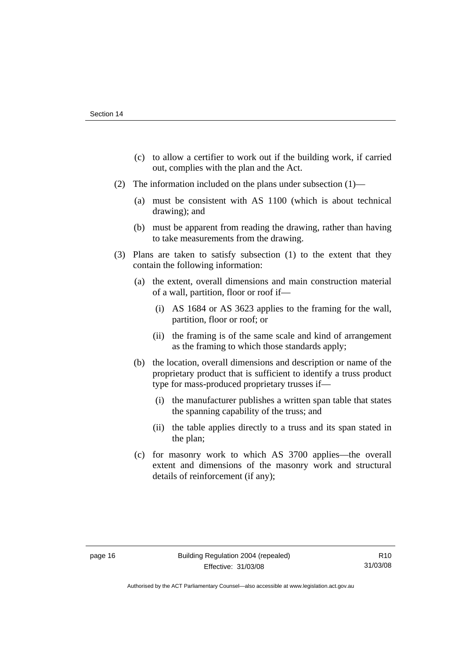- (c) to allow a certifier to work out if the building work, if carried out, complies with the plan and the Act.
- (2) The information included on the plans under subsection (1)—
	- (a) must be consistent with AS 1100 (which is about technical drawing); and
	- (b) must be apparent from reading the drawing, rather than having to take measurements from the drawing.
- (3) Plans are taken to satisfy subsection (1) to the extent that they contain the following information:
	- (a) the extent, overall dimensions and main construction material of a wall, partition, floor or roof if—
		- (i) AS 1684 or AS 3623 applies to the framing for the wall, partition, floor or roof; or
		- (ii) the framing is of the same scale and kind of arrangement as the framing to which those standards apply;
	- (b) the location, overall dimensions and description or name of the proprietary product that is sufficient to identify a truss product type for mass-produced proprietary trusses if—
		- (i) the manufacturer publishes a written span table that states the spanning capability of the truss; and
		- (ii) the table applies directly to a truss and its span stated in the plan;
	- (c) for masonry work to which AS 3700 applies—the overall extent and dimensions of the masonry work and structural details of reinforcement (if any);

Authorised by the ACT Parliamentary Counsel—also accessible at www.legislation.act.gov.au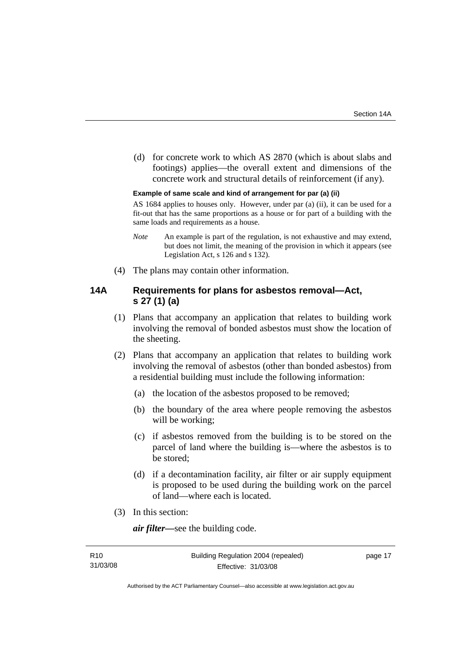<span id="page-22-0"></span> (d) for concrete work to which AS 2870 (which is about slabs and footings) applies—the overall extent and dimensions of the concrete work and structural details of reinforcement (if any).

#### **Example of same scale and kind of arrangement for par (a) (ii)**

AS 1684 applies to houses only. However, under par (a) (ii), it can be used for a fit-out that has the same proportions as a house or for part of a building with the same loads and requirements as a house.

- *Note* An example is part of the regulation, is not exhaustive and may extend, but does not limit, the meaning of the provision in which it appears (see Legislation Act, s 126 and s 132).
- (4) The plans may contain other information.

# **14A Requirements for plans for asbestos removal—Act, s 27 (1) (a)**

- (1) Plans that accompany an application that relates to building work involving the removal of bonded asbestos must show the location of the sheeting.
- (2) Plans that accompany an application that relates to building work involving the removal of asbestos (other than bonded asbestos) from a residential building must include the following information:
	- (a) the location of the asbestos proposed to be removed;
	- (b) the boundary of the area where people removing the asbestos will be working;
	- (c) if asbestos removed from the building is to be stored on the parcel of land where the building is—where the asbestos is to be stored;
	- (d) if a decontamination facility, air filter or air supply equipment is proposed to be used during the building work on the parcel of land—where each is located.
- (3) In this section:

*air filter—*see the building code.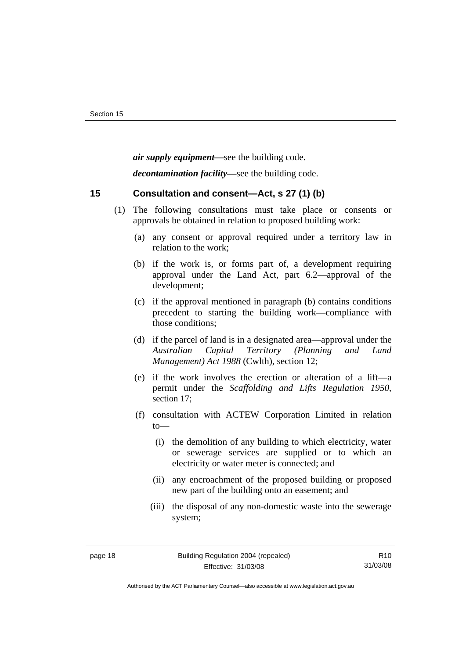<span id="page-23-0"></span>*air supply equipment—*see the building code.

*decontamination facility—*see the building code.

# **15 Consultation and consent—Act, s 27 (1) (b)**

- (1) The following consultations must take place or consents or approvals be obtained in relation to proposed building work:
	- (a) any consent or approval required under a territory law in relation to the work;
	- (b) if the work is, or forms part of, a development requiring approval under the Land Act, part 6.2—approval of the development;
	- (c) if the approval mentioned in paragraph (b) contains conditions precedent to starting the building work—compliance with those conditions;
	- (d) if the parcel of land is in a designated area—approval under the *Australian Capital Territory (Planning and Land Management) Act 1988* (Cwlth), section 12;
	- (e) if the work involves the erection or alteration of a lift—a permit under the *Scaffolding and Lifts Regulation 1950*, section 17;
	- (f) consultation with ACTEW Corporation Limited in relation to—
		- (i) the demolition of any building to which electricity, water or sewerage services are supplied or to which an electricity or water meter is connected; and
		- (ii) any encroachment of the proposed building or proposed new part of the building onto an easement; and
		- (iii) the disposal of any non-domestic waste into the sewerage system;

Authorised by the ACT Parliamentary Counsel—also accessible at www.legislation.act.gov.au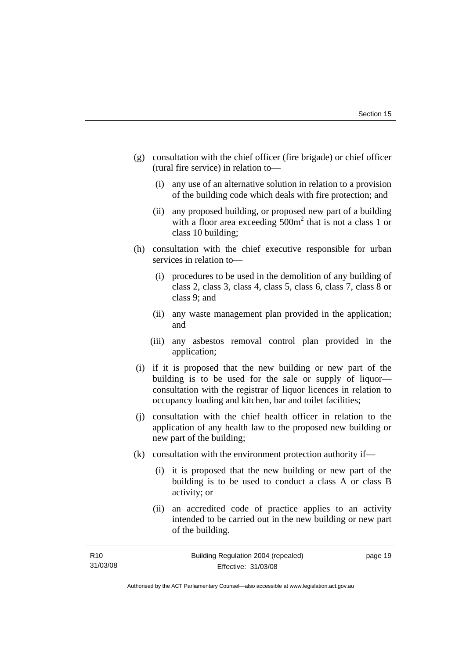- (g) consultation with the chief officer (fire brigade) or chief officer (rural fire service) in relation to—
	- (i) any use of an alternative solution in relation to a provision of the building code which deals with fire protection; and
	- (ii) any proposed building, or proposed new part of a building with a floor area exceeding  $500m^2$  that is not a class 1 or class 10 building;
- (h) consultation with the chief executive responsible for urban services in relation to—
	- (i) procedures to be used in the demolition of any building of class 2, class 3, class 4, class 5, class 6, class 7, class 8 or class 9; and
	- (ii) any waste management plan provided in the application; and
	- (iii) any asbestos removal control plan provided in the application;
- (i) if it is proposed that the new building or new part of the building is to be used for the sale or supply of liquor consultation with the registrar of liquor licences in relation to occupancy loading and kitchen, bar and toilet facilities;
- (j) consultation with the chief health officer in relation to the application of any health law to the proposed new building or new part of the building;
- (k) consultation with the environment protection authority if—
	- (i) it is proposed that the new building or new part of the building is to be used to conduct a class A or class B activity; or
	- (ii) an accredited code of practice applies to an activity intended to be carried out in the new building or new part of the building.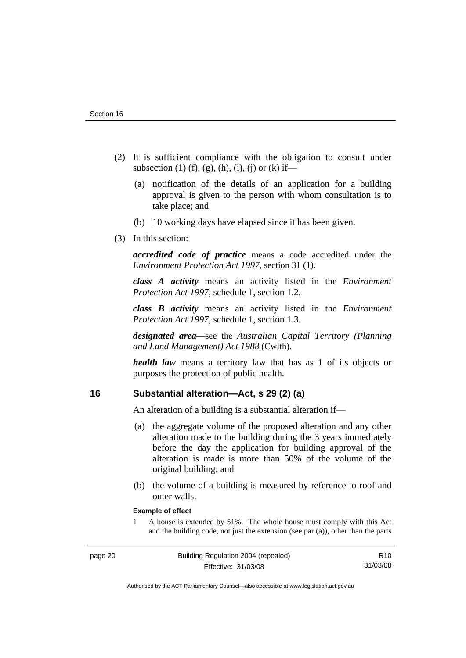- <span id="page-25-0"></span> (2) It is sufficient compliance with the obligation to consult under subsection (1) (f), (g), (h), (i), (i) or (k) if—
	- (a) notification of the details of an application for a building approval is given to the person with whom consultation is to take place; and
	- (b) 10 working days have elapsed since it has been given.
- (3) In this section:

*accredited code of practice* means a code accredited under the *Environment Protection Act 1997*, section 31 (1).

*class A activity* means an activity listed in the *Environment Protection Act 1997*, schedule 1, section 1.2.

*class B activity* means an activity listed in the *Environment Protection Act 1997*, schedule 1, section 1.3.

*designated area*—see the *Australian Capital Territory (Planning and Land Management) Act 1988* (Cwlth).

*health law* means a territory law that has as 1 of its objects or purposes the protection of public health.

# **16 Substantial alteration—Act, s 29 (2) (a)**

An alteration of a building is a substantial alteration if—

- (a) the aggregate volume of the proposed alteration and any other alteration made to the building during the 3 years immediately before the day the application for building approval of the alteration is made is more than 50% of the volume of the original building; and
- (b) the volume of a building is measured by reference to roof and outer walls.

#### **Example of effect**

1 A house is extended by 51%. The whole house must comply with this Act and the building code, not just the extension (see par (a)), other than the parts

Authorised by the ACT Parliamentary Counsel—also accessible at www.legislation.act.gov.au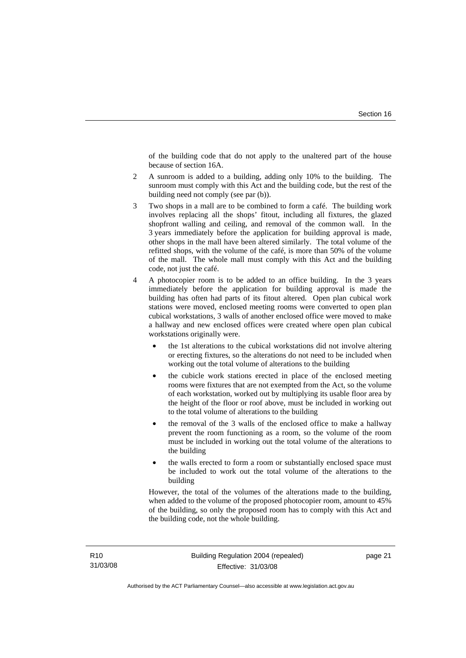of the building code that do not apply to the unaltered part of the house because of section 16A.

- 2 A sunroom is added to a building, adding only 10% to the building. The sunroom must comply with this Act and the building code, but the rest of the building need not comply (see par (b)).
- 3 Two shops in a mall are to be combined to form a café. The building work involves replacing all the shops' fitout, including all fixtures, the glazed shopfront walling and ceiling, and removal of the common wall. In the 3 years immediately before the application for building approval is made, other shops in the mall have been altered similarly. The total volume of the refitted shops, with the volume of the café, is more than 50% of the volume of the mall. The whole mall must comply with this Act and the building code, not just the café.
- 4 A photocopier room is to be added to an office building. In the 3 years immediately before the application for building approval is made the building has often had parts of its fitout altered. Open plan cubical work stations were moved, enclosed meeting rooms were converted to open plan cubical workstations, 3 walls of another enclosed office were moved to make a hallway and new enclosed offices were created where open plan cubical workstations originally were.
	- the 1st alterations to the cubical workstations did not involve altering or erecting fixtures, so the alterations do not need to be included when working out the total volume of alterations to the building
	- the cubicle work stations erected in place of the enclosed meeting rooms were fixtures that are not exempted from the Act, so the volume of each workstation, worked out by multiplying its usable floor area by the height of the floor or roof above, must be included in working out to the total volume of alterations to the building
	- the removal of the 3 walls of the enclosed office to make a hallway prevent the room functioning as a room, so the volume of the room must be included in working out the total volume of the alterations to the building
	- the walls erected to form a room or substantially enclosed space must be included to work out the total volume of the alterations to the building

However, the total of the volumes of the alterations made to the building, when added to the volume of the proposed photocopier room, amount to 45% of the building, so only the proposed room has to comply with this Act and the building code, not the whole building.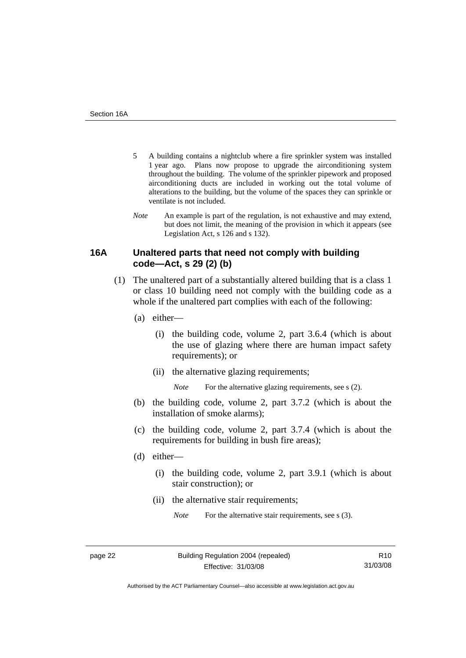- <span id="page-27-0"></span>5 A building contains a nightclub where a fire sprinkler system was installed 1 year ago. Plans now propose to upgrade the airconditioning system throughout the building. The volume of the sprinkler pipework and proposed airconditioning ducts are included in working out the total volume of alterations to the building, but the volume of the spaces they can sprinkle or ventilate is not included.
- *Note* An example is part of the regulation, is not exhaustive and may extend, but does not limit, the meaning of the provision in which it appears (see Legislation Act, s 126 and s 132).

# **16A Unaltered parts that need not comply with building code—Act, s 29 (2) (b)**

- (1) The unaltered part of a substantially altered building that is a class 1 or class 10 building need not comply with the building code as a whole if the unaltered part complies with each of the following:
	- (a) either—
		- (i) the building code, volume 2, part 3.6.4 (which is about the use of glazing where there are human impact safety requirements); or
		- (ii) the alternative glazing requirements;

*Note* For the alternative glazing requirements, see s (2).

- (b) the building code, volume 2, part 3.7.2 (which is about the installation of smoke alarms);
- (c) the building code, volume 2, part 3.7.4 (which is about the requirements for building in bush fire areas);
- (d) either—
	- (i) the building code, volume 2, part 3.9.1 (which is about stair construction); or
	- (ii) the alternative stair requirements;

*Note* For the alternative stair requirements, see s (3).

Authorised by the ACT Parliamentary Counsel—also accessible at www.legislation.act.gov.au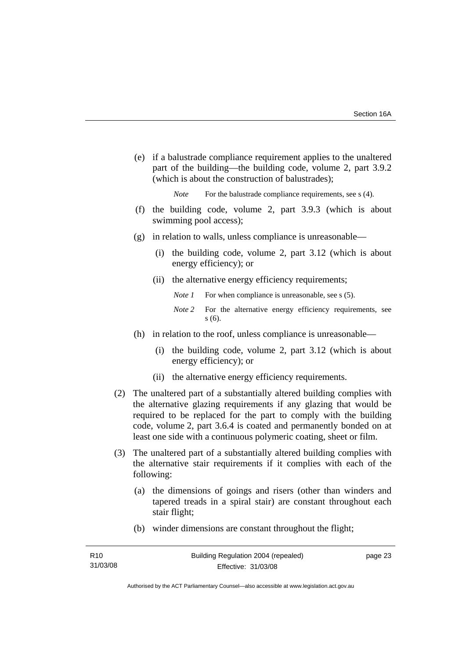(e) if a balustrade compliance requirement applies to the unaltered part of the building—the building code, volume 2, part 3.9.2 (which is about the construction of balustrades);

*Note* For the balustrade compliance requirements, see s (4).

- (f) the building code, volume 2, part 3.9.3 (which is about swimming pool access);
- (g) in relation to walls, unless compliance is unreasonable—
	- (i) the building code, volume 2, part 3.12 (which is about energy efficiency); or
	- (ii) the alternative energy efficiency requirements;
		- *Note 1* For when compliance is unreasonable, see s (5).
		- *Note 2* For the alternative energy efficiency requirements, see s (6).
- (h) in relation to the roof, unless compliance is unreasonable—
	- (i) the building code, volume 2, part 3.12 (which is about energy efficiency); or
	- (ii) the alternative energy efficiency requirements.
- (2) The unaltered part of a substantially altered building complies with the alternative glazing requirements if any glazing that would be required to be replaced for the part to comply with the building code, volume 2, part 3.6.4 is coated and permanently bonded on at least one side with a continuous polymeric coating, sheet or film.
- (3) The unaltered part of a substantially altered building complies with the alternative stair requirements if it complies with each of the following:
	- (a) the dimensions of goings and risers (other than winders and tapered treads in a spiral stair) are constant throughout each stair flight;
	- (b) winder dimensions are constant throughout the flight;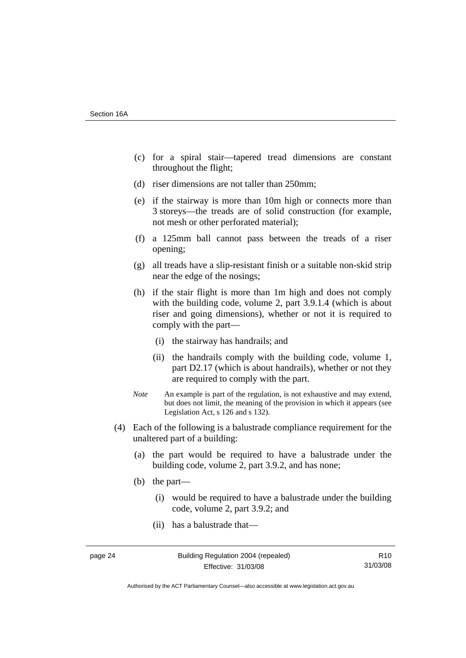- (c) for a spiral stair—tapered tread dimensions are constant throughout the flight;
- (d) riser dimensions are not taller than 250mm;
- (e) if the stairway is more than 10m high or connects more than 3 storeys—the treads are of solid construction (for example, not mesh or other perforated material);
- (f) a 125mm ball cannot pass between the treads of a riser opening;
- (g) all treads have a slip-resistant finish or a suitable non-skid strip near the edge of the nosings;
- (h) if the stair flight is more than 1m high and does not comply with the building code, volume 2, part 3.9.1.4 (which is about riser and going dimensions), whether or not it is required to comply with the part—
	- (i) the stairway has handrails; and
	- (ii) the handrails comply with the building code, volume 1, part D2.17 (which is about handrails), whether or not they are required to comply with the part.
- *Note* An example is part of the regulation, is not exhaustive and may extend, but does not limit, the meaning of the provision in which it appears (see Legislation Act, s 126 and s 132).
- (4) Each of the following is a balustrade compliance requirement for the unaltered part of a building:
	- (a) the part would be required to have a balustrade under the building code, volume 2, part 3.9.2, and has none;
	- (b) the part—
		- (i) would be required to have a balustrade under the building code, volume 2, part 3.9.2; and
		- (ii) has a balustrade that—

R10 31/03/08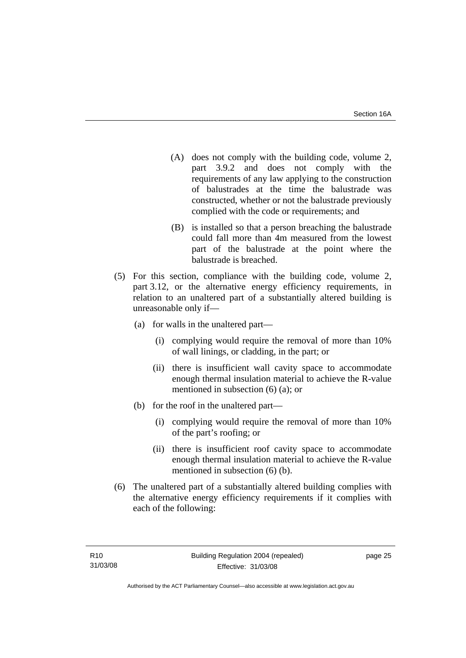- (A) does not comply with the building code, volume 2, part 3.9.2 and does not comply with the requirements of any law applying to the construction of balustrades at the time the balustrade was constructed, whether or not the balustrade previously complied with the code or requirements; and
- (B) is installed so that a person breaching the balustrade could fall more than 4m measured from the lowest part of the balustrade at the point where the balustrade is breached.
- (5) For this section, compliance with the building code, volume 2, part 3.12, or the alternative energy efficiency requirements, in relation to an unaltered part of a substantially altered building is unreasonable only if—
	- (a) for walls in the unaltered part—
		- (i) complying would require the removal of more than 10% of wall linings, or cladding, in the part; or
		- (ii) there is insufficient wall cavity space to accommodate enough thermal insulation material to achieve the R-value mentioned in subsection (6) (a); or
	- (b) for the roof in the unaltered part—
		- (i) complying would require the removal of more than 10% of the part's roofing; or
		- (ii) there is insufficient roof cavity space to accommodate enough thermal insulation material to achieve the R-value mentioned in subsection (6) (b).
- (6) The unaltered part of a substantially altered building complies with the alternative energy efficiency requirements if it complies with each of the following: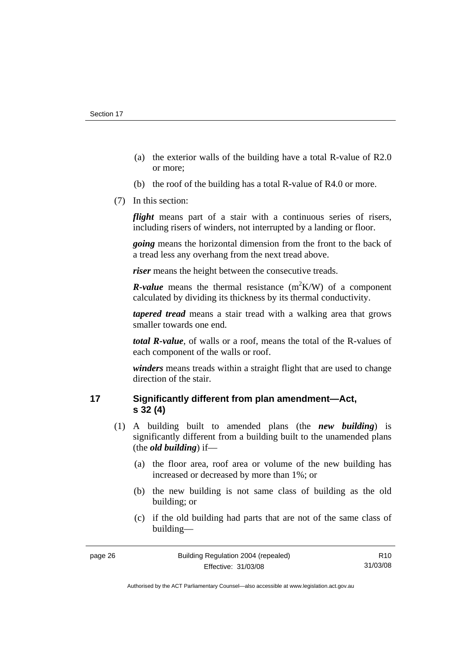- <span id="page-31-0"></span> (a) the exterior walls of the building have a total R-value of R2.0 or more;
- (b) the roof of the building has a total R-value of R4.0 or more.
- (7) In this section:

*flight* means part of a stair with a continuous series of risers, including risers of winders, not interrupted by a landing or floor.

*going* means the horizontal dimension from the front to the back of a tread less any overhang from the next tread above.

*riser* means the height between the consecutive treads.

*R*-value means the thermal resistance  $(m^2K/W)$  of a component calculated by dividing its thickness by its thermal conductivity.

*tapered tread* means a stair tread with a walking area that grows smaller towards one end.

*total R-value*, of walls or a roof, means the total of the R-values of each component of the walls or roof.

*winders* means treads within a straight flight that are used to change direction of the stair.

# **17 Significantly different from plan amendment—Act, s 32 (4)**

- (1) A building built to amended plans (the *new building*) is significantly different from a building built to the unamended plans (the *old building*) if—
	- (a) the floor area, roof area or volume of the new building has increased or decreased by more than 1%; or
	- (b) the new building is not same class of building as the old building; or
	- (c) if the old building had parts that are not of the same class of building—

Authorised by the ACT Parliamentary Counsel—also accessible at www.legislation.act.gov.au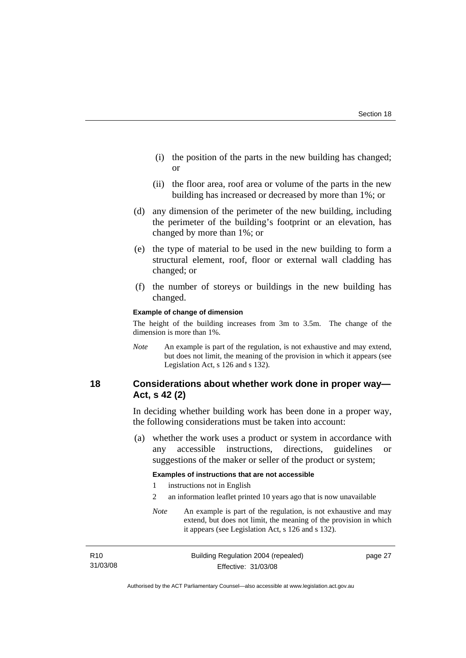- <span id="page-32-0"></span> (i) the position of the parts in the new building has changed; or
- (ii) the floor area, roof area or volume of the parts in the new building has increased or decreased by more than 1%; or
- (d) any dimension of the perimeter of the new building, including the perimeter of the building's footprint or an elevation, has changed by more than 1%; or
- (e) the type of material to be used in the new building to form a structural element, roof, floor or external wall cladding has changed; or
- (f) the number of storeys or buildings in the new building has changed.

#### **Example of change of dimension**

The height of the building increases from 3m to 3.5m. The change of the dimension is more than 1%.

*Note* An example is part of the regulation, is not exhaustive and may extend, but does not limit, the meaning of the provision in which it appears (see Legislation Act, s 126 and s 132).

# **18 Considerations about whether work done in proper way— Act, s 42 (2)**

In deciding whether building work has been done in a proper way, the following considerations must be taken into account:

 (a) whether the work uses a product or system in accordance with any accessible instructions, directions, guidelines or suggestions of the maker or seller of the product or system;

#### **Examples of instructions that are not accessible**

- 1 instructions not in English
- 2 an information leaflet printed 10 years ago that is now unavailable
- *Note* An example is part of the regulation, is not exhaustive and may extend, but does not limit, the meaning of the provision in which it appears (see Legislation Act, s 126 and s 132).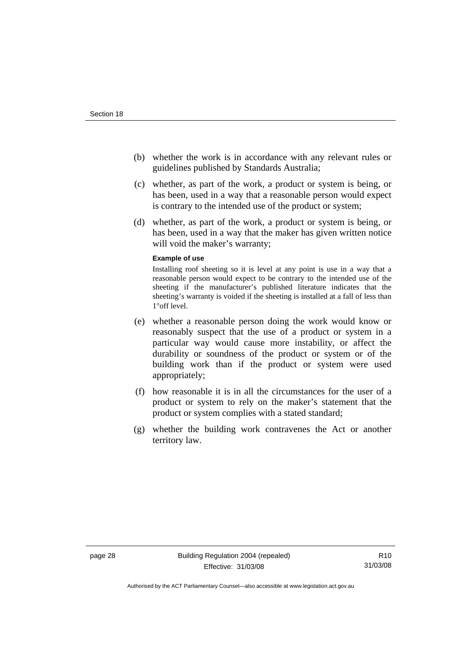- (b) whether the work is in accordance with any relevant rules or guidelines published by Standards Australia;
- (c) whether, as part of the work, a product or system is being, or has been, used in a way that a reasonable person would expect is contrary to the intended use of the product or system;
- (d) whether, as part of the work, a product or system is being, or has been, used in a way that the maker has given written notice will void the maker's warranty;

#### **Example of use**

Installing roof sheeting so it is level at any point is use in a way that a reasonable person would expect to be contrary to the intended use of the sheeting if the manufacturer's published literature indicates that the sheeting's warranty is voided if the sheeting is installed at a fall of less than 1°off level.

- (e) whether a reasonable person doing the work would know or reasonably suspect that the use of a product or system in a particular way would cause more instability, or affect the durability or soundness of the product or system or of the building work than if the product or system were used appropriately;
- (f) how reasonable it is in all the circumstances for the user of a product or system to rely on the maker's statement that the product or system complies with a stated standard;
- (g) whether the building work contravenes the Act or another territory law.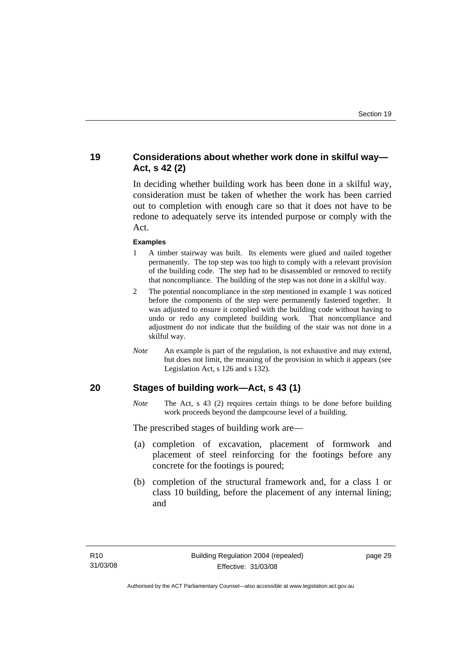# <span id="page-34-0"></span>**19 Considerations about whether work done in skilful way— Act, s 42 (2)**

In deciding whether building work has been done in a skilful way, consideration must be taken of whether the work has been carried out to completion with enough care so that it does not have to be redone to adequately serve its intended purpose or comply with the Act.

#### **Examples**

- 1 A timber stairway was built. Its elements were glued and nailed together permanently. The top step was too high to comply with a relevant provision of the building code. The step had to be disassembled or removed to rectify that noncompliance. The building of the step was not done in a skilful way.
- 2 The potential noncompliance in the step mentioned in example 1 was noticed before the components of the step were permanently fastened together. It was adjusted to ensure it complied with the building code without having to undo or redo any completed building work. That noncompliance and adjustment do not indicate that the building of the stair was not done in a skilful way.
- *Note* An example is part of the regulation, is not exhaustive and may extend, but does not limit, the meaning of the provision in which it appears (see Legislation Act, s 126 and s 132).

#### **20 Stages of building work—Act, s 43 (1)**

*Note* The Act, s 43 (2) requires certain things to be done before building work proceeds beyond the dampcourse level of a building.

The prescribed stages of building work are—

- (a) completion of excavation, placement of formwork and placement of steel reinforcing for the footings before any concrete for the footings is poured;
- (b) completion of the structural framework and, for a class 1 or class 10 building, before the placement of any internal lining; and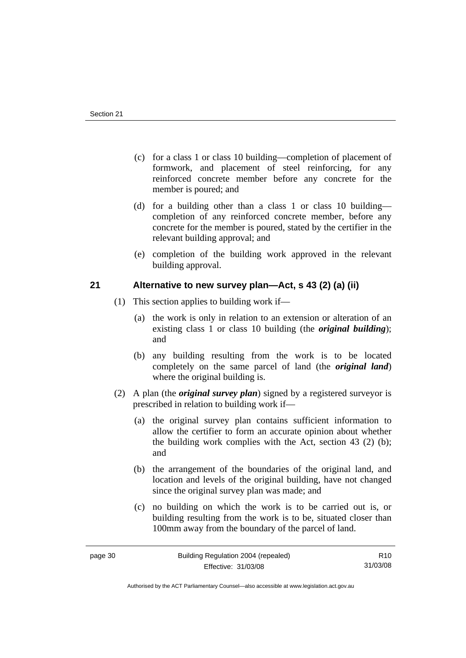- <span id="page-35-0"></span> (c) for a class 1 or class 10 building—completion of placement of formwork, and placement of steel reinforcing, for any reinforced concrete member before any concrete for the member is poured; and
- (d) for a building other than a class 1 or class 10 building completion of any reinforced concrete member, before any concrete for the member is poured, stated by the certifier in the relevant building approval; and
- (e) completion of the building work approved in the relevant building approval.

# **21 Alternative to new survey plan—Act, s 43 (2) (a) (ii)**

- (1) This section applies to building work if—
	- (a) the work is only in relation to an extension or alteration of an existing class 1 or class 10 building (the *original building*); and
	- (b) any building resulting from the work is to be located completely on the same parcel of land (the *original land*) where the original building is.
- (2) A plan (the *original survey plan*) signed by a registered surveyor is prescribed in relation to building work if—
	- (a) the original survey plan contains sufficient information to allow the certifier to form an accurate opinion about whether the building work complies with the Act, section 43 (2) (b); and
	- (b) the arrangement of the boundaries of the original land, and location and levels of the original building, have not changed since the original survey plan was made; and
	- (c) no building on which the work is to be carried out is, or building resulting from the work is to be, situated closer than 100mm away from the boundary of the parcel of land.

Authorised by the ACT Parliamentary Counsel—also accessible at www.legislation.act.gov.au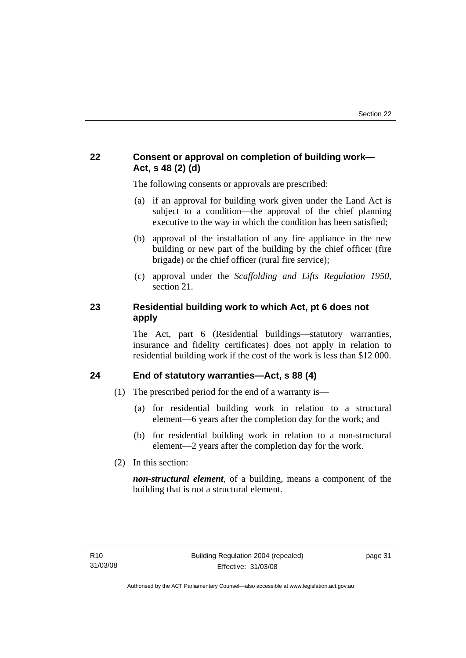# <span id="page-36-0"></span>**22 Consent or approval on completion of building work— Act, s 48 (2) (d)**

The following consents or approvals are prescribed:

- (a) if an approval for building work given under the Land Act is subject to a condition—the approval of the chief planning executive to the way in which the condition has been satisfied;
- (b) approval of the installation of any fire appliance in the new building or new part of the building by the chief officer (fire brigade) or the chief officer (rural fire service);
- (c) approval under the *Scaffolding and Lifts Regulation 1950*, section 21.

# **23 Residential building work to which Act, pt 6 does not apply**

The Act, part 6 (Residential buildings—statutory warranties, insurance and fidelity certificates) does not apply in relation to residential building work if the cost of the work is less than \$12 000.

# **24 End of statutory warranties—Act, s 88 (4)**

- (1) The prescribed period for the end of a warranty is—
	- (a) for residential building work in relation to a structural element—6 years after the completion day for the work; and
	- (b) for residential building work in relation to a non-structural element—2 years after the completion day for the work.
- (2) In this section:

*non-structural element*, of a building, means a component of the building that is not a structural element.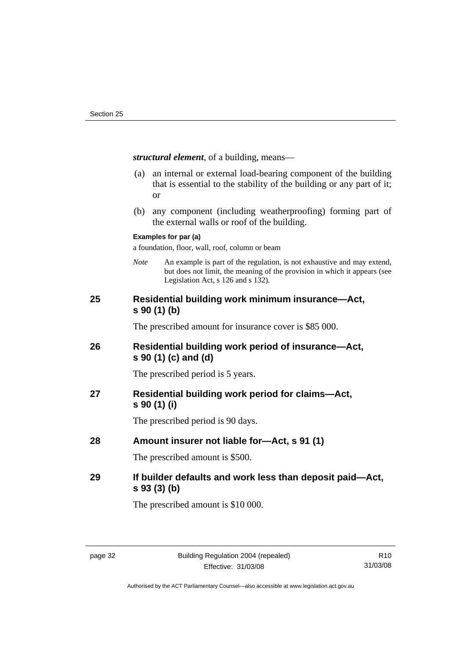<span id="page-37-0"></span>*structural element*, of a building, means—

- (a) an internal or external load-bearing component of the building that is essential to the stability of the building or any part of it; or
- (b) any component (including weatherproofing) forming part of the external walls or roof of the building.

#### **Examples for par (a)**

a foundation, floor, wall, roof, column or beam

*Note* An example is part of the regulation, is not exhaustive and may extend, but does not limit, the meaning of the provision in which it appears (see Legislation Act, s 126 and s 132).

# **25 Residential building work minimum insurance—Act, s 90 (1) (b)**

The prescribed amount for insurance cover is \$85 000.

# **26 Residential building work period of insurance—Act, s 90 (1) (c) and (d)**

The prescribed period is 5 years.

# **27 Residential building work period for claims—Act, s 90 (1) (i)**

The prescribed period is 90 days.

# **28 Amount insurer not liable for—Act, s 91 (1)**

The prescribed amount is \$500.

# **29 If builder defaults and work less than deposit paid—Act, s 93 (3) (b)**

The prescribed amount is \$10 000.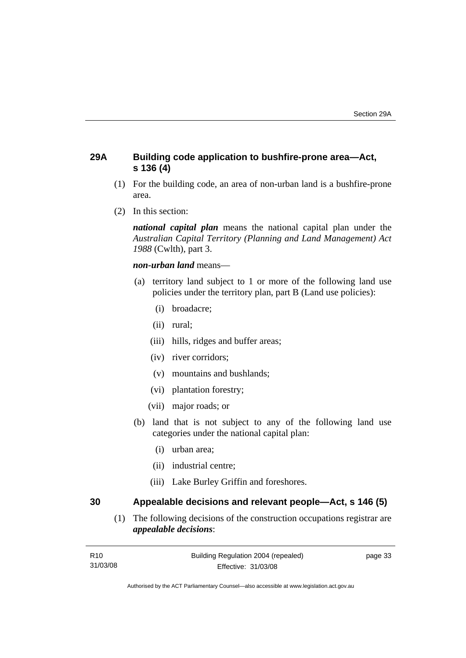# <span id="page-38-0"></span>**29A Building code application to bushfire-prone area—Act, s 136 (4)**

- (1) For the building code, an area of non-urban land is a bushfire-prone area.
- (2) In this section:

*national capital plan* means the national capital plan under the *Australian Capital Territory (Planning and Land Management) Act 1988* (Cwlth), part 3.

*non-urban land* means—

- (a) territory land subject to 1 or more of the following land use policies under the territory plan, part B (Land use policies):
	- (i) broadacre;
	- (ii) rural;
	- (iii) hills, ridges and buffer areas;
	- (iv) river corridors;
	- (v) mountains and bushlands;
	- (vi) plantation forestry;
	- (vii) major roads; or
- (b) land that is not subject to any of the following land use categories under the national capital plan:
	- (i) urban area;
	- (ii) industrial centre;
	- (iii) Lake Burley Griffin and foreshores.

**30 Appealable decisions and relevant people—Act, s 146 (5)** 

 (1) The following decisions of the construction occupations registrar are *appealable decisions*: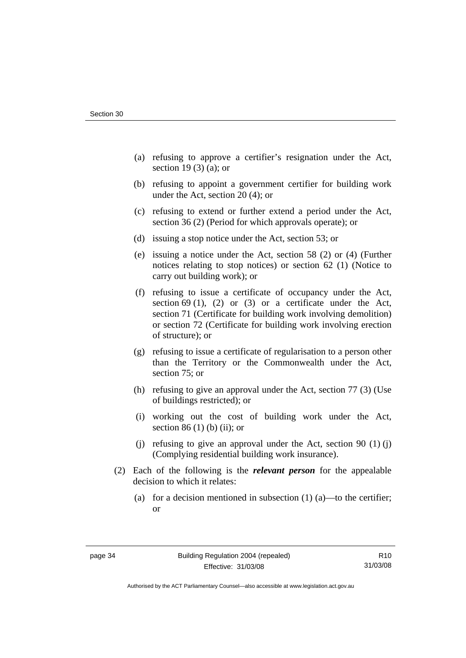- (a) refusing to approve a certifier's resignation under the Act, section 19 (3) (a); or
- (b) refusing to appoint a government certifier for building work under the Act, section 20 (4); or
- (c) refusing to extend or further extend a period under the Act, section 36 (2) (Period for which approvals operate); or
- (d) issuing a stop notice under the Act, section 53; or
- (e) issuing a notice under the Act, section 58 (2) or (4) (Further notices relating to stop notices) or section 62 (1) (Notice to carry out building work); or
- (f) refusing to issue a certificate of occupancy under the Act, section 69 (1), (2) or (3) or a certificate under the Act, section 71 (Certificate for building work involving demolition) or section 72 (Certificate for building work involving erection of structure); or
- (g) refusing to issue a certificate of regularisation to a person other than the Territory or the Commonwealth under the Act, section 75; or
- (h) refusing to give an approval under the Act, section 77 (3) (Use of buildings restricted); or
- (i) working out the cost of building work under the Act, section 86 $(1)$  $(b)$  $(ii)$ ; or
- (i) refusing to give an approval under the Act, section 90  $(1)$  (i) (Complying residential building work insurance).
- (2) Each of the following is the *relevant person* for the appealable decision to which it relates:
	- (a) for a decision mentioned in subsection  $(1)$  (a)—to the certifier; or

Authorised by the ACT Parliamentary Counsel—also accessible at www.legislation.act.gov.au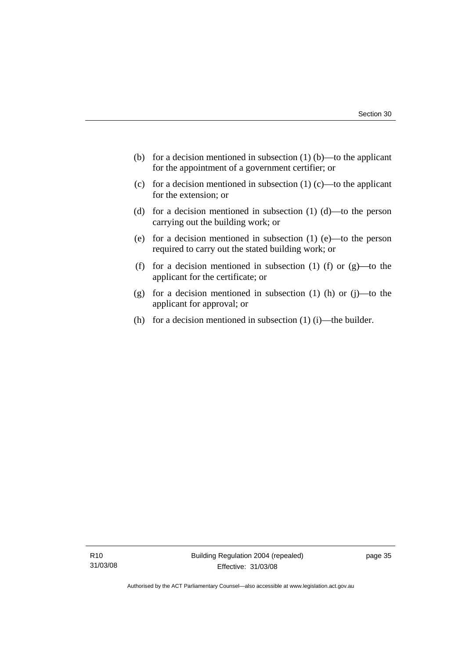- (b) for a decision mentioned in subsection  $(1)$  (b)—to the applicant for the appointment of a government certifier; or
- (c) for a decision mentioned in subsection  $(1)$  (c)—to the applicant for the extension; or
- (d) for a decision mentioned in subsection (1) (d)—to the person carrying out the building work; or
- (e) for a decision mentioned in subsection (1) (e)—to the person required to carry out the stated building work; or
- (f) for a decision mentioned in subsection (1) (f) or  $(g)$ —to the applicant for the certificate; or
- (g) for a decision mentioned in subsection (1) (h) or (j)—to the applicant for approval; or
- (h) for a decision mentioned in subsection  $(1)$  (i)—the builder.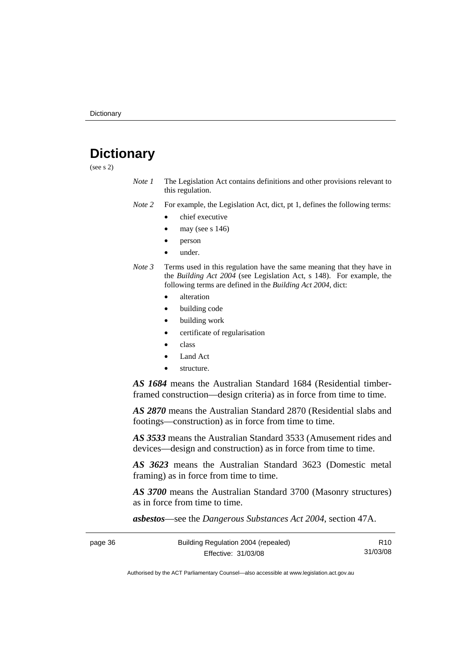# <span id="page-41-0"></span>**Dictionary**

(see s 2)

*Note 1* The Legislation Act contains definitions and other provisions relevant to this regulation.

*Note 2* For example, the Legislation Act, dict, pt 1, defines the following terms:

- chief executive
- may (see  $s$  146)
- person
- under.
- *Note 3* Terms used in this regulation have the same meaning that they have in the *Building Act 2004* (see Legislation Act, s 148). For example, the following terms are defined in the *Building Act 2004*, dict:
	- alteration
	- building code
	- building work
	- certificate of regularisation
	- class
	- Land Act
	- structure.

*AS 1684* means the Australian Standard 1684 (Residential timberframed construction—design criteria) as in force from time to time.

*AS 2870* means the Australian Standard 2870 (Residential slabs and footings—construction) as in force from time to time.

*AS 3533* means the Australian Standard 3533 (Amusement rides and devices—design and construction) as in force from time to time.

*AS 3623* means the Australian Standard 3623 (Domestic metal framing) as in force from time to time.

*AS 3700* means the Australian Standard 3700 (Masonry structures) as in force from time to time.

*asbestos*—see the *Dangerous Substances Act 2004*, section 47A.

| page 36 | Building Regulation 2004 (repealed) | R <sub>10</sub> |
|---------|-------------------------------------|-----------------|
|         | Effective: 31/03/08                 | 31/03/08        |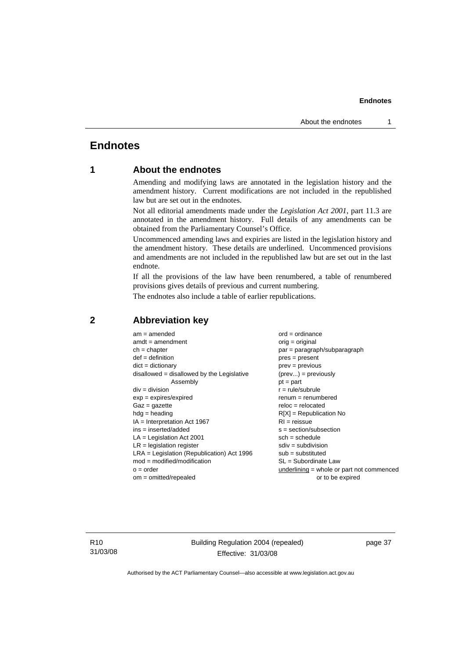# <span id="page-42-0"></span>**Endnotes**

# **1 About the endnotes**

Amending and modifying laws are annotated in the legislation history and the amendment history. Current modifications are not included in the republished law but are set out in the endnotes.

Not all editorial amendments made under the *Legislation Act 2001*, part 11.3 are annotated in the amendment history. Full details of any amendments can be obtained from the Parliamentary Counsel's Office.

Uncommenced amending laws and expiries are listed in the legislation history and the amendment history. These details are underlined. Uncommenced provisions and amendments are not included in the republished law but are set out in the last endnote.

If all the provisions of the law have been renumbered, a table of renumbered provisions gives details of previous and current numbering.

The endnotes also include a table of earlier republications.

| $am = amended$                               | $ord = ordinance$                         |
|----------------------------------------------|-------------------------------------------|
| $amdt = amendment$                           | $orig = original$                         |
| $ch = chapter$                               | $par = paragraph/subparagraph$            |
| $def = definition$                           | $pres = present$                          |
| $dict = dictionary$                          | $prev = previous$                         |
| $disallowed = disallowed by the Legislative$ | $(\text{prev}) = \text{previously}$       |
| Assembly                                     | $pt = part$                               |
| $div = division$                             | $r = rule/subrule$                        |
| $exp = expires/expired$                      | $remum = renumbered$                      |
| $Gaz = gazette$                              | $reloc = relocated$                       |
| $hdg =$ heading                              | $R[X]$ = Republication No                 |
| $IA = Interpretation Act 1967$               | $RI = reissue$                            |
| $ins = inserted/added$                       | $s = section/subsection$                  |
| $LA =$ Legislation Act 2001                  | $sch = schedule$                          |
| $LR =$ legislation register                  | $sdiv = subdivision$                      |
| $LRA =$ Legislation (Republication) Act 1996 | $sub =$ substituted                       |
| $mod = modified/modification$                | SL = Subordinate Law                      |
| $o = order$                                  | underlining = whole or part not commenced |
| $om = omitted/repealed$                      | or to be expired                          |
|                                              |                                           |

#### **2 Abbreviation key**

R10 31/03/08 Building Regulation 2004 (repealed) Effective: 31/03/08

page 37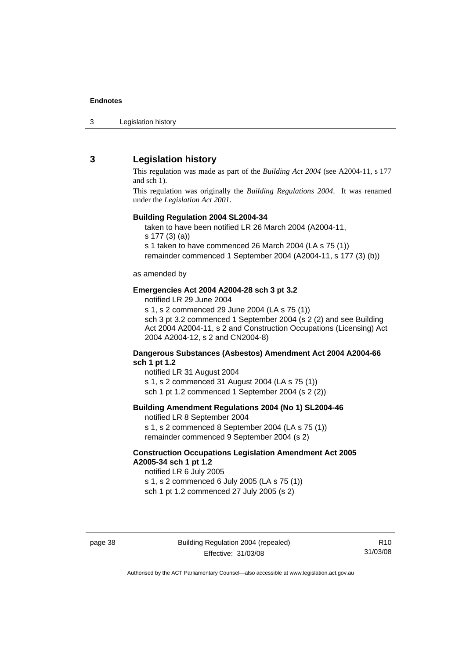<span id="page-43-0"></span>3 Legislation history

# **3 Legislation history**

This regulation was made as part of the *Building Act 2004* (see A2004-11, s 177 and sch 1).

This regulation was originally the *Building Regulations 2004*. It was renamed under the *Legislation Act 2001*.

#### **Building Regulation 2004 SL2004-34**

taken to have been notified LR 26 March 2004 (A2004-11,

s 177 (3) (a))

s 1 taken to have commenced 26 March 2004 (LA s 75 (1)) remainder commenced 1 September 2004 (A2004-11, s 177 (3) (b))

as amended by

#### **Emergencies Act 2004 A2004-28 sch 3 pt 3.2**

notified LR 29 June 2004

s 1, s 2 commenced 29 June 2004 (LA s 75 (1)) sch 3 pt 3.2 commenced 1 September 2004 (s 2 (2) and see Building Act 2004 A2004-11, s 2 and Construction Occupations (Licensing) Act 2004 A2004-12, s 2 and CN2004-8)

#### **Dangerous Substances (Asbestos) Amendment Act 2004 A2004-66 sch 1 pt 1.2**

notified LR 31 August 2004 s 1, s 2 commenced 31 August 2004 (LA s 75 (1)) sch 1 pt 1.2 commenced 1 September 2004 (s 2 (2))

#### **Building Amendment Regulations 2004 (No 1) SL2004-46**

notified LR 8 September 2004 s 1, s 2 commenced 8 September 2004 (LA s 75 (1)) remainder commenced 9 September 2004 (s 2)

#### **Construction Occupations Legislation Amendment Act 2005 A2005-34 sch 1 pt 1.2**

notified LR 6 July 2005 s 1, s 2 commenced 6 July 2005 (LA s 75 (1)) sch 1 pt 1.2 commenced 27 July 2005 (s 2)

page 38 Building Regulation 2004 (repealed) Effective: 31/03/08

R10 31/03/08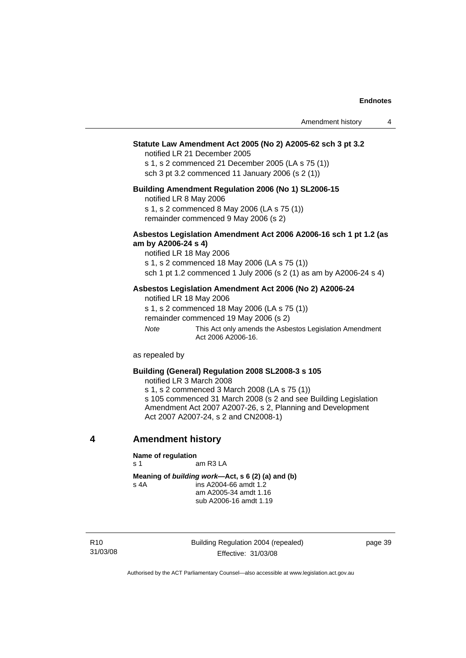#### <span id="page-44-0"></span>**Statute Law Amendment Act 2005 (No 2) A2005-62 sch 3 pt 3.2**

notified LR 21 December 2005

s 1, s 2 commenced 21 December 2005 (LA s 75 (1)) sch 3 pt 3.2 commenced 11 January 2006 (s 2 (1))

#### **Building Amendment Regulation 2006 (No 1) SL2006-15**

notified LR 8 May 2006

s 1, s 2 commenced 8 May 2006 (LA s 75 (1)) remainder commenced 9 May 2006 (s 2)

#### **Asbestos Legislation Amendment Act 2006 A2006-16 sch 1 pt 1.2 (as am by A2006-24 s 4)**

notified LR 18 May 2006 s 1, s 2 commenced 18 May 2006 (LA s 75 (1)) sch 1 pt 1.2 commenced 1 July 2006 (s 2 (1) as am by A2006-24 s 4)

#### **Asbestos Legislation Amendment Act 2006 (No 2) A2006-24**

notified LR 18 May 2006

s 1, s 2 commenced 18 May 2006 (LA s 75 (1)) remainder commenced 19 May 2006 (s 2)

*Note* This Act only amends the Asbestos Legislation Amendment Act 2006 A2006-16.

as repealed by

#### **Building (General) Regulation 2008 SL2008-3 s 105**

notified LR 3 March 2008

s 1, s 2 commenced 3 March 2008 (LA s 75 (1)) s 105 commenced 31 March 2008 (s 2 and see Building Legislation Amendment Act 2007 A2007-26, s 2, Planning and Development Act 2007 A2007-24, s 2 and CN2008-1)

**4 Amendment history** 

#### **Name of regulation**

s 1 am R3 LA

**Meaning of** *building work***—Act, s 6 (2) (a) and (b)**  s 4A ins A2004-66 amdt 1.2

 am A2005-34 amdt 1.16 sub A2006-16 amdt 1.19

R10 31/03/08 Building Regulation 2004 (repealed) Effective: 31/03/08

page 39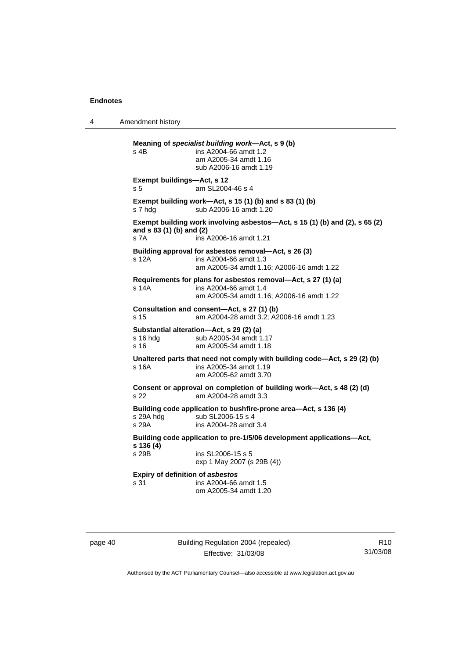4 Amendment history

**Meaning of** *specialist building work***—Act, s 9 (b)**  s 4B ins A2004-66 amdt 1.2 am A2005-34 amdt 1.16 sub A2006-16 amdt 1.19 **Exempt buildings—Act, s 12**  s 5 am SL2004-46 s 4 **Exempt building work—Act, s 15 (1) (b) and s 83 (1) (b)**  s 7 hdg sub A2006-16 amdt 1.20 **Exempt building work involving asbestos—Act, s 15 (1) (b) and (2), s 65 (2) and s 83 (1) (b) and (2)**  s 7A ins A2006-16 amdt 1.21 **Building approval for asbestos removal—Act, s 26 (3)**  s 12A ins A2004-66 amdt 1.3 am A2005-34 amdt 1.16; A2006-16 amdt 1.22 **Requirements for plans for asbestos removal—Act, s 27 (1) (a)**  s 14A ins A2004-66 amdt 1.4 am A2005-34 amdt 1.16; A2006-16 amdt 1.22 **Consultation and consent—Act, s 27 (1) (b)**  s 15 am A2004-28 amdt 3.2; A2006-16 amdt 1.23 **Substantial alteration—Act, s 29 (2) (a)**  sub A2005-34 amdt 1.17 s 16 am A2005-34 amdt 1.18 **Unaltered parts that need not comply with building code—Act, s 29 (2) (b)**  s 16A ins A2005-34 amdt 1.19 am A2005-62 amdt 3.70 **Consent or approval on completion of building work—Act, s 48 (2) (d)**  s 22 am A2004-28 amdt 3.3 **Building code application to bushfire-prone area—Act, s 136 (4)**  s 29A hdg sub SL2006-15 s 4<br>s 29A s 39A ins A2004-28 amdt ins A2004-28 amdt 3.4 **Building code application to pre-1/5/06 development applications—Act, s 136 (4)**  s 29B ins SL2006-15 s 5 exp 1 May 2007 (s 29B (4)) **Expiry of definition of** *asbestos* s 31 ins A2004-66 amdt 1.5 om A2005-34 amdt 1.20

page 40 Building Regulation 2004 (repealed) Effective: 31/03/08

R10 31/03/08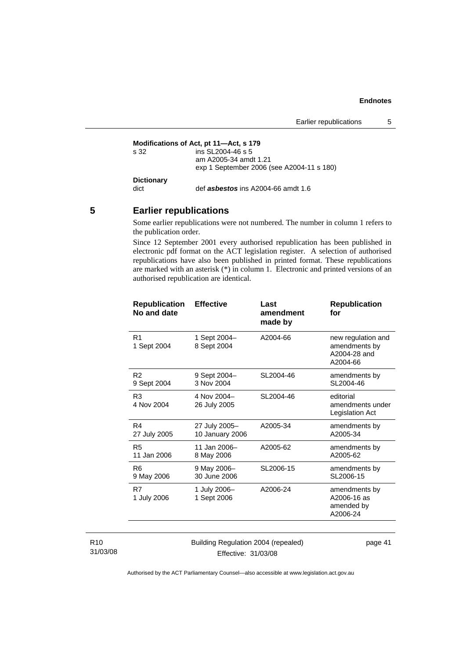```
Modifications of Act, pt 11—Act, s 179<br>s 32 ins SL2004-46 s 5
                    ins SL2004-46 s 5
                     am A2005-34 amdt 1.21 
                     exp 1 September 2006 (see A2004-11 s 180) 
Dictionary 
dict def asbestos ins A2004-66 amdt 1.6
```
# **5 Earlier republications**

Some earlier republications were not numbered. The number in column 1 refers to the publication order.

Since 12 September 2001 every authorised republication has been published in electronic pdf format on the ACT legislation register. A selection of authorised republications have also been published in printed format. These republications are marked with an asterisk (\*) in column 1. Electronic and printed versions of an authorised republication are identical.

| <b>Republication</b><br>No and date | <b>Effective</b>            | Last<br>amendment<br>made by | <b>Republication</b><br>for                                     |
|-------------------------------------|-----------------------------|------------------------------|-----------------------------------------------------------------|
| R <sub>1</sub><br>1 Sept 2004       | 1 Sept 2004-<br>8 Sept 2004 | A2004-66                     | new regulation and<br>amendments by<br>A2004-28 and<br>A2004-66 |
| R <sub>2</sub>                      | 9 Sept 2004-                | SL2004-46                    | amendments by                                                   |
| 9 Sept 2004                         | 3 Nov 2004                  |                              | SL2004-46                                                       |
| R3<br>4 Nov 2004                    | 4 Nov 2004-<br>26 July 2005 | SL2004-46                    | editorial<br>amendments under<br>Legislation Act                |
| R4                                  | 27 July 2005-               | A2005-34                     | amendments by                                                   |
| 27 July 2005                        | 10 January 2006             |                              | A2005-34                                                        |
| R5                                  | 11 Jan 2006-                | A2005-62                     | amendments by                                                   |
| 11 Jan 2006                         | 8 May 2006                  |                              | A2005-62                                                        |
| R <sub>6</sub>                      | 9 May 2006-                 | SL2006-15                    | amendments by                                                   |
| 9 May 2006                          | 30 June 2006                |                              | SL2006-15                                                       |
| R7<br>1 July 2006                   | 1 July 2006-<br>1 Sept 2006 | A2006-24                     | amendments by<br>A2006-16 as<br>amended by<br>A2006-24          |

#### R10 31/03/08

Building Regulation 2004 (repealed) Effective: 31/03/08

page 41